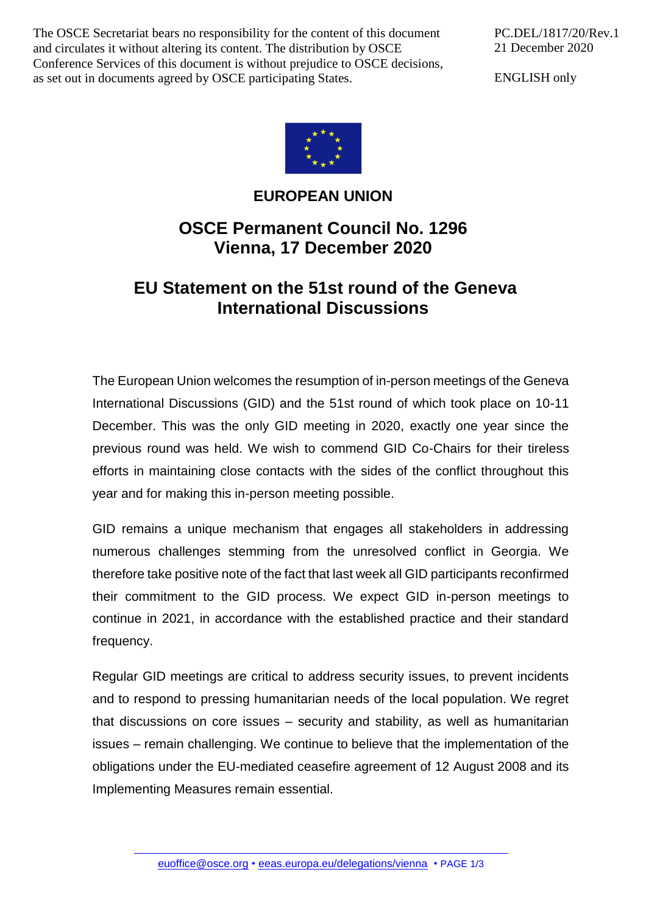The OSCE Secretariat bears no responsibility for the content of this document and circulates it without altering its content. The distribution by OSCE Conference Services of this document is without prejudice to OSCE decisions, as set out in documents agreed by OSCE participating States.

PC.DEL/1817/20/Rev.1 21 December 2020

ENGLISH only



## **EUROPEAN UNION**

## **OSCE Permanent Council No. 1296 Vienna, 17 December 2020**

## **EU Statement on the 51st round of the Geneva International Discussions**

The European Union welcomes the resumption of in-person meetings of the Geneva International Discussions (GID) and the 51st round of which took place on 10-11 December. This was the only GID meeting in 2020, exactly one year since the previous round was held. We wish to commend GID Co-Chairs for their tireless efforts in maintaining close contacts with the sides of the conflict throughout this year and for making this in-person meeting possible.

GID remains a unique mechanism that engages all stakeholders in addressing numerous challenges stemming from the unresolved conflict in Georgia. We therefore take positive note of the fact that last week all GID participants reconfirmed their commitment to the GID process. We expect GID in-person meetings to continue in 2021, in accordance with the established practice and their standard frequency.

Regular GID meetings are critical to address security issues, to prevent incidents and to respond to pressing humanitarian needs of the local population. We regret that discussions on core issues – security and stability, as well as humanitarian issues – remain challenging. We continue to believe that the implementation of the obligations under the EU-mediated ceasefire agreement of 12 August 2008 and its Implementing Measures remain essential.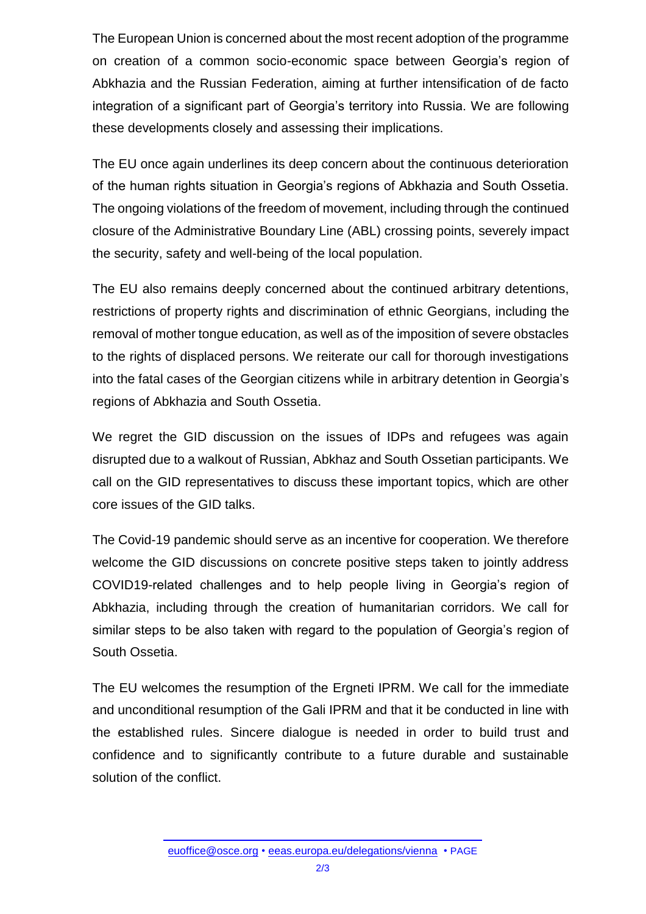The European Union is concerned about the most recent adoption of the programme on creation of a common socio-economic space between Georgia's region of Abkhazia and the Russian Federation, aiming at further intensification of de facto integration of a significant part of Georgia's territory into Russia. We are following these developments closely and assessing their implications.

The EU once again underlines its deep concern about the continuous deterioration of the human rights situation in Georgia's regions of Abkhazia and South Ossetia. The ongoing violations of the freedom of movement, including through the continued closure of the Administrative Boundary Line (ABL) crossing points, severely impact the security, safety and well-being of the local population.

The EU also remains deeply concerned about the continued arbitrary detentions, restrictions of property rights and discrimination of ethnic Georgians, including the removal of mother tongue education, as well as of the imposition of severe obstacles to the rights of displaced persons. We reiterate our call for thorough investigations into the fatal cases of the Georgian citizens while in arbitrary detention in Georgia's regions of Abkhazia and South Ossetia.

We regret the GID discussion on the issues of IDPs and refugees was again disrupted due to a walkout of Russian, Abkhaz and South Ossetian participants. We call on the GID representatives to discuss these important topics, which are other core issues of the GID talks.

The Covid-19 pandemic should serve as an incentive for cooperation. We therefore welcome the GID discussions on concrete positive steps taken to jointly address COVID19-related challenges and to help people living in Georgia's region of Abkhazia, including through the creation of humanitarian corridors. We call for similar steps to be also taken with regard to the population of Georgia's region of South Ossetia.

The EU welcomes the resumption of the Ergneti IPRM. We call for the immediate and unconditional resumption of the Gali IPRM and that it be conducted in line with the established rules. Sincere dialogue is needed in order to build trust and confidence and to significantly contribute to a future durable and sustainable solution of the conflict.